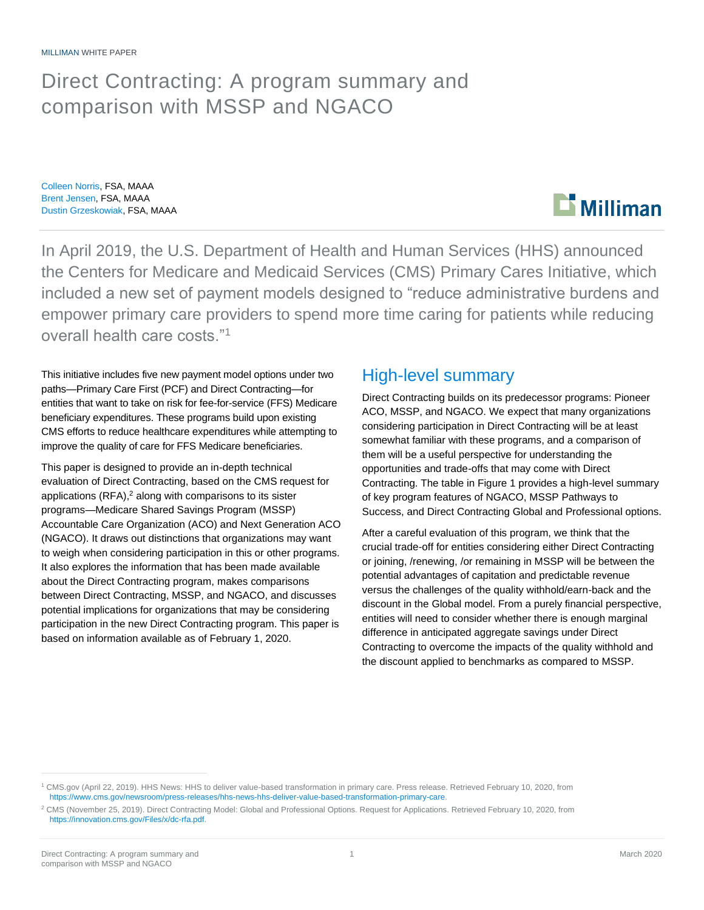## Direct Contracting: A program summary and comparison with MSSP and NGACO

Colleen Norris, FSA, MAAA Brent Jensen, FSA, MAAA Dustin Grzeskowiak, FSA, MAAA

# **Milliman**

In April 2019, the U.S. Department of Health and Human Services (HHS) announced the Centers for Medicare and Medicaid Services (CMS) Primary Cares Initiative, which included a new set of payment models designed to "reduce administrative burdens and empower primary care providers to spend more time caring for patients while reducing overall health care costs."<sup>1</sup>

This initiative includes five new payment model options under two paths—Primary Care First (PCF) and Direct Contracting—for entities that want to take on risk for fee-for-service (FFS) Medicare beneficiary expenditures. These programs build upon existing CMS efforts to reduce healthcare expenditures while attempting to improve the quality of care for FFS Medicare beneficiaries.

This paper is designed to provide an in-depth technical evaluation of Direct Contracting, based on the CMS request for applications (RFA),<sup>2</sup> along with comparisons to its sister programs—Medicare Shared Savings Program (MSSP) Accountable Care Organization (ACO) and Next Generation ACO (NGACO). It draws out distinctions that organizations may want to weigh when considering participation in this or other programs. It also explores the information that has been made available about the Direct Contracting program, makes comparisons between Direct Contracting, MSSP, and NGACO, and discusses potential implications for organizations that may be considering participation in the new Direct Contracting program. This paper is based on information available as of February 1, 2020.

### High-level summary

Direct Contracting builds on its predecessor programs: Pioneer ACO, MSSP, and NGACO. We expect that many organizations considering participation in Direct Contracting will be at least somewhat familiar with these programs, and a comparison of them will be a useful perspective for understanding the opportunities and trade-offs that may come with Direct Contracting. The table in Figure 1 provides a high-level summary of key program features of NGACO, MSSP Pathways to Success, and Direct Contracting Global and Professional options.

After a careful evaluation of this program, we think that the crucial trade-off for entities considering either Direct Contracting or joining, /renewing, /or remaining in MSSP will be between the potential advantages of capitation and predictable revenue versus the challenges of the quality withhold/earn-back and the discount in the Global model. From a purely financial perspective, entities will need to consider whether there is enough marginal difference in anticipated aggregate savings under Direct Contracting to overcome the impacts of the quality withhold and the discount applied to benchmarks as compared to MSSP.

<sup>1</sup> CMS.gov (April 22, 2019). HHS News: HHS to deliver value-based transformation in primary care. Press release. Retrieved February 10, 2020, from [https://www.cms.gov/newsroom/press-releases/hhs-news-hhs-deliver-value-based-transformation-primary-care.](https://www.cms.gov/newsroom/press-releases/hhs-news-hhs-deliver-value-based-transformation-primary-care)

<sup>2</sup> CMS (November 25, 2019). Direct Contracting Model: Global and Professional Options. Request for Applications. Retrieved February 10, 2020, from [https://innovation.cms.gov/Files/x/dc-rfa.pdf.](https://innovation.cms.gov/Files/x/dc-rfa.pdf)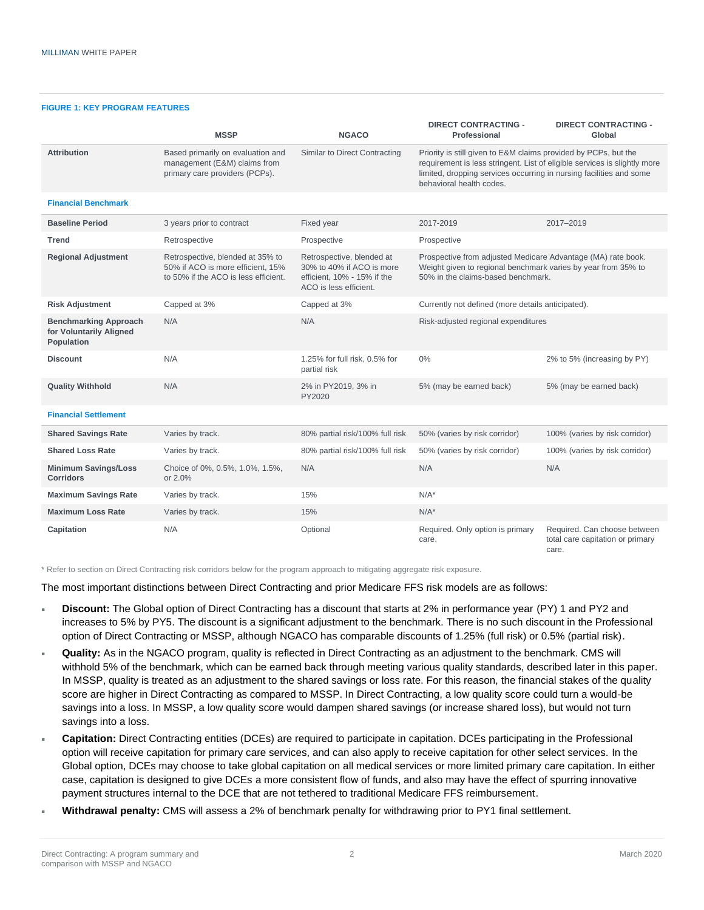#### **FIGURE 1: KEY PROGRAM FEATURES**

|                                                                       | <b>MSSP</b>                                                                                                   | <b>NGACO</b>                                                                                                    | <b>DIRECT CONTRACTING -</b><br>Professional                                                                                                                                                                                                     | <b>DIRECT CONTRACTING -</b><br>Global                                     |
|-----------------------------------------------------------------------|---------------------------------------------------------------------------------------------------------------|-----------------------------------------------------------------------------------------------------------------|-------------------------------------------------------------------------------------------------------------------------------------------------------------------------------------------------------------------------------------------------|---------------------------------------------------------------------------|
| <b>Attribution</b>                                                    | Based primarily on evaluation and<br>management (E&M) claims from<br>primary care providers (PCPs).           | Similar to Direct Contracting                                                                                   | Priority is still given to E&M claims provided by PCPs, but the<br>requirement is less stringent. List of eligible services is slightly more<br>limited, dropping services occurring in nursing facilities and some<br>behavioral health codes. |                                                                           |
| <b>Financial Benchmark</b>                                            |                                                                                                               |                                                                                                                 |                                                                                                                                                                                                                                                 |                                                                           |
| <b>Baseline Period</b>                                                | 3 years prior to contract                                                                                     | Fixed year                                                                                                      | 2017-2019                                                                                                                                                                                                                                       | 2017-2019                                                                 |
| <b>Trend</b>                                                          | Retrospective                                                                                                 | Prospective                                                                                                     | Prospective                                                                                                                                                                                                                                     |                                                                           |
| <b>Regional Adjustment</b>                                            | Retrospective, blended at 35% to<br>50% if ACO is more efficient. 15%<br>to 50% if the ACO is less efficient. | Retrospective, blended at<br>30% to 40% if ACO is more<br>efficient, 10% - 15% if the<br>ACO is less efficient. | Prospective from adjusted Medicare Advantage (MA) rate book.<br>Weight given to regional benchmark varies by year from 35% to<br>50% in the claims-based benchmark.                                                                             |                                                                           |
| <b>Risk Adjustment</b>                                                | Capped at 3%                                                                                                  | Capped at 3%                                                                                                    | Currently not defined (more details anticipated).                                                                                                                                                                                               |                                                                           |
| <b>Benchmarking Approach</b><br>for Voluntarily Aligned<br>Population | N/A                                                                                                           | N/A                                                                                                             | Risk-adjusted regional expenditures                                                                                                                                                                                                             |                                                                           |
| <b>Discount</b>                                                       | N/A                                                                                                           | 1.25% for full risk, 0.5% for<br>partial risk                                                                   | $0\%$                                                                                                                                                                                                                                           | 2% to 5% (increasing by PY)                                               |
| <b>Quality Withhold</b>                                               | N/A                                                                                                           | 2% in PY2019, 3% in<br>PY2020                                                                                   | 5% (may be earned back)                                                                                                                                                                                                                         | 5% (may be earned back)                                                   |
| <b>Financial Settlement</b>                                           |                                                                                                               |                                                                                                                 |                                                                                                                                                                                                                                                 |                                                                           |
| <b>Shared Savings Rate</b>                                            | Varies by track.                                                                                              | 80% partial risk/100% full risk                                                                                 | 50% (varies by risk corridor)                                                                                                                                                                                                                   | 100% (varies by risk corridor)                                            |
| <b>Shared Loss Rate</b>                                               | Varies by track.                                                                                              | 80% partial risk/100% full risk                                                                                 | 50% (varies by risk corridor)                                                                                                                                                                                                                   | 100% (varies by risk corridor)                                            |
| <b>Minimum Savings/Loss</b><br><b>Corridors</b>                       | Choice of 0%, 0.5%, 1.0%, 1.5%,<br>or 2.0%                                                                    | N/A                                                                                                             | N/A                                                                                                                                                                                                                                             | N/A                                                                       |
| <b>Maximum Savings Rate</b>                                           | Varies by track.                                                                                              | 15%                                                                                                             | $N/A^*$                                                                                                                                                                                                                                         |                                                                           |
| <b>Maximum Loss Rate</b>                                              | Varies by track.                                                                                              | 15%                                                                                                             | $N/A^*$                                                                                                                                                                                                                                         |                                                                           |
| Capitation                                                            | N/A                                                                                                           | Optional                                                                                                        | Required. Only option is primary<br>care.                                                                                                                                                                                                       | Required. Can choose between<br>total care capitation or primary<br>care. |

\* Refer to section on Direct Contracting risk corridors below for the program approach to mitigating aggregate risk exposure.

The most important distinctions between Direct Contracting and prior Medicare FFS risk models are as follows:

- **Discount:** The Global option of Direct Contracting has a discount that starts at 2% in performance year (PY) 1 and PY2 and increases to 5% by PY5. The discount is a significant adjustment to the benchmark. There is no such discount in the Professional option of Direct Contracting or MSSP, although NGACO has comparable discounts of 1.25% (full risk) or 0.5% (partial risk).
- **Quality:** As in the NGACO program, quality is reflected in Direct Contracting as an adjustment to the benchmark. CMS will withhold 5% of the benchmark, which can be earned back through meeting various quality standards, described later in this paper. In MSSP, quality is treated as an adjustment to the shared savings or loss rate. For this reason, the financial stakes of the quality score are higher in Direct Contracting as compared to MSSP. In Direct Contracting, a low quality score could turn a would-be savings into a loss. In MSSP, a low quality score would dampen shared savings (or increase shared loss), but would not turn savings into a loss.
- **Capitation:** Direct Contracting entities (DCEs) are required to participate in capitation. DCEs participating in the Professional option will receive capitation for primary care services, and can also apply to receive capitation for other select services. In the Global option, DCEs may choose to take global capitation on all medical services or more limited primary care capitation. In either case, capitation is designed to give DCEs a more consistent flow of funds, and also may have the effect of spurring innovative payment structures internal to the DCE that are not tethered to traditional Medicare FFS reimbursement.
- **Withdrawal penalty:** CMS will assess a 2% of benchmark penalty for withdrawing prior to PY1 final settlement.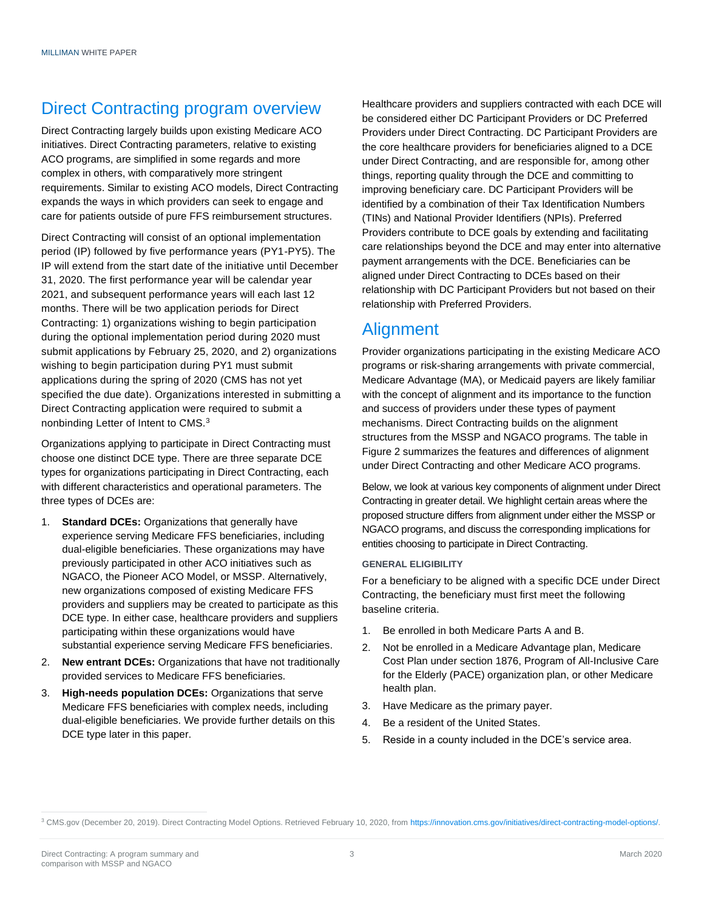## Direct Contracting program overview

Direct Contracting largely builds upon existing Medicare ACO initiatives. Direct Contracting parameters, relative to existing ACO programs, are simplified in some regards and more complex in others, with comparatively more stringent requirements. Similar to existing ACO models, Direct Contracting expands the ways in which providers can seek to engage and care for patients outside of pure FFS reimbursement structures.

Direct Contracting will consist of an optional implementation period (IP) followed by five performance years (PY1-PY5). The IP will extend from the start date of the initiative until December 31, 2020. The first performance year will be calendar year 2021, and subsequent performance years will each last 12 months. There will be two application periods for Direct Contracting: 1) organizations wishing to begin participation during the optional implementation period during 2020 must submit applications by February 25, 2020, and 2) organizations wishing to begin participation during PY1 must submit applications during the spring of 2020 (CMS has not yet specified the due date). Organizations interested in submitting a Direct Contracting application were required to submit a nonbinding Letter of Intent to CMS.<sup>3</sup>

Organizations applying to participate in Direct Contracting must choose one distinct DCE type. There are three separate DCE types for organizations participating in Direct Contracting, each with different characteristics and operational parameters. The three types of DCEs are:

- 1. **Standard DCEs:** Organizations that generally have experience serving Medicare FFS beneficiaries, including dual-eligible beneficiaries. These organizations may have previously participated in other ACO initiatives such as NGACO, the Pioneer ACO Model, or MSSP. Alternatively, new organizations composed of existing Medicare FFS providers and suppliers may be created to participate as this DCE type. In either case, healthcare providers and suppliers participating within these organizations would have substantial experience serving Medicare FFS beneficiaries.
- 2. **New entrant DCEs:** Organizations that have not traditionally provided services to Medicare FFS beneficiaries.
- 3. **High-needs population DCEs:** Organizations that serve Medicare FFS beneficiaries with complex needs, including dual-eligible beneficiaries. We provide further details on this DCE type later in this paper.

Healthcare providers and suppliers contracted with each DCE will be considered either DC Participant Providers or DC Preferred Providers under Direct Contracting. DC Participant Providers are the core healthcare providers for beneficiaries aligned to a DCE under Direct Contracting, and are responsible for, among other things, reporting quality through the DCE and committing to improving beneficiary care. DC Participant Providers will be identified by a combination of their Tax Identification Numbers (TINs) and National Provider Identifiers (NPIs). Preferred Providers contribute to DCE goals by extending and facilitating care relationships beyond the DCE and may enter into alternative payment arrangements with the DCE. Beneficiaries can be aligned under Direct Contracting to DCEs based on their relationship with DC Participant Providers but not based on their relationship with Preferred Providers.

## **Alignment**

Provider organizations participating in the existing Medicare ACO programs or risk-sharing arrangements with private commercial, Medicare Advantage (MA), or Medicaid payers are likely familiar with the concept of alignment and its importance to the function and success of providers under these types of payment mechanisms. Direct Contracting builds on the alignment structures from the MSSP and NGACO programs. The table in Figure 2 summarizes the features and differences of alignment under Direct Contracting and other Medicare ACO programs.

Below, we look at various key components of alignment under Direct Contracting in greater detail. We highlight certain areas where the proposed structure differs from alignment under either the MSSP or NGACO programs, and discuss the corresponding implications for entities choosing to participate in Direct Contracting.

#### **GENERAL ELIGIBILITY**

For a beneficiary to be aligned with a specific DCE under Direct Contracting, the beneficiary must first meet the following baseline criteria.

- 1. Be enrolled in both Medicare Parts A and B.
- 2. Not be enrolled in a Medicare Advantage plan, Medicare Cost Plan under section 1876, Program of All-Inclusive Care for the Elderly (PACE) organization plan, or other Medicare health plan.
- 3. Have Medicare as the primary payer.
- 4. Be a resident of the United States.
- 5. Reside in a county included in the DCE's service area.

<sup>3</sup> CMS.gov (December 20, 2019). Direct Contracting Model Options. Retrieved February 10, 2020, from [https://innovation.cms.gov/initiatives/direct-contracting-model-options/.](https://innovation.cms.gov/initiatives/direct-contracting-model-options/)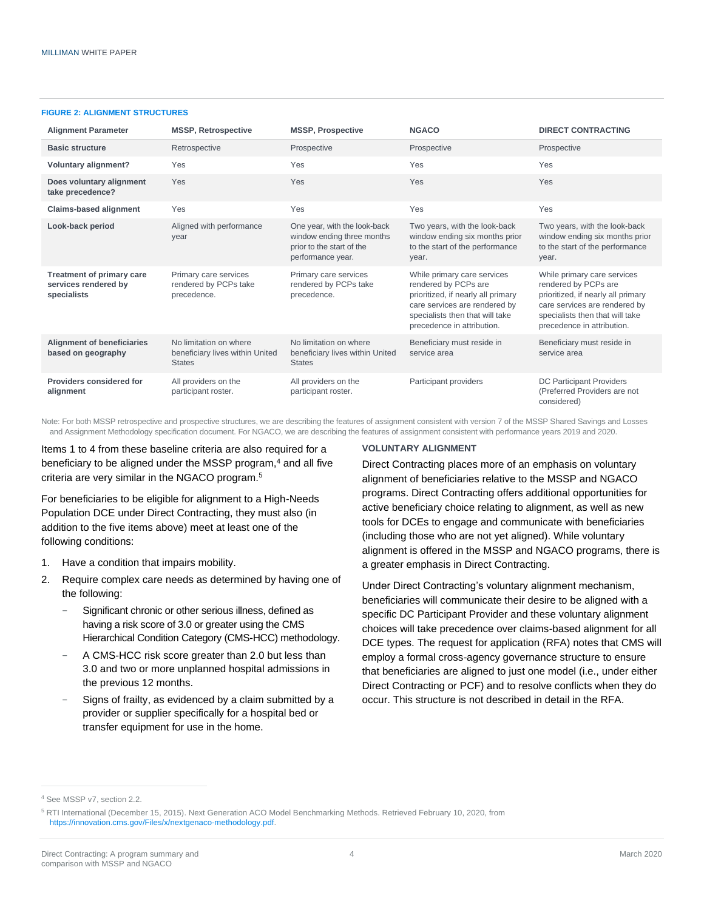#### **FIGURE 2: ALIGNMENT STRUCTURES**

| <b>Alignment Parameter</b>                                       | <b>MSSP, Retrospective</b>                                                 | <b>MSSP, Prospective</b>                                                                                     | <b>NGACO</b>                                                                                                                                                                                | <b>DIRECT CONTRACTING</b>                                                                                                                                                                   |
|------------------------------------------------------------------|----------------------------------------------------------------------------|--------------------------------------------------------------------------------------------------------------|---------------------------------------------------------------------------------------------------------------------------------------------------------------------------------------------|---------------------------------------------------------------------------------------------------------------------------------------------------------------------------------------------|
| <b>Basic structure</b>                                           | Retrospective                                                              | Prospective                                                                                                  | Prospective                                                                                                                                                                                 | Prospective                                                                                                                                                                                 |
| <b>Voluntary alignment?</b>                                      | Yes                                                                        | Yes                                                                                                          | Yes                                                                                                                                                                                         | Yes                                                                                                                                                                                         |
| Does voluntary alignment<br>take precedence?                     | Yes                                                                        | Yes                                                                                                          | Yes                                                                                                                                                                                         | Yes                                                                                                                                                                                         |
| <b>Claims-based alignment</b>                                    | Yes                                                                        | Yes                                                                                                          | Yes                                                                                                                                                                                         | Yes                                                                                                                                                                                         |
| Look-back period                                                 | Aligned with performance<br>year                                           | One year, with the look-back<br>window ending three months<br>prior to the start of the<br>performance year. | Two years, with the look-back<br>window ending six months prior<br>to the start of the performance<br>year.                                                                                 | Two years, with the look-back<br>window ending six months prior<br>to the start of the performance<br>year.                                                                                 |
| Treatment of primary care<br>services rendered by<br>specialists | Primary care services<br>rendered by PCPs take<br>precedence.              | Primary care services<br>rendered by PCPs take<br>precedence.                                                | While primary care services<br>rendered by PCPs are<br>prioritized, if nearly all primary<br>care services are rendered by<br>specialists then that will take<br>precedence in attribution. | While primary care services<br>rendered by PCPs are<br>prioritized, if nearly all primary<br>care services are rendered by<br>specialists then that will take<br>precedence in attribution. |
| <b>Alignment of beneficiaries</b><br>based on geography          | No limitation on where<br>beneficiary lives within United<br><b>States</b> | No limitation on where<br>beneficiary lives within United<br><b>States</b>                                   | Beneficiary must reside in<br>service area                                                                                                                                                  | Beneficiary must reside in<br>service area                                                                                                                                                  |
| Providers considered for<br>alignment                            | All providers on the<br>participant roster.                                | All providers on the<br>participant roster.                                                                  | Participant providers                                                                                                                                                                       | <b>DC Participant Providers</b><br>(Preferred Providers are not<br>considered)                                                                                                              |

Note: For both MSSP retrospective and prospective structures, we are describing the features of assignment consistent with version 7 of the MSSP Shared Savings and Losses and Assignment Methodology specification document. For NGACO, we are describing the features of assignment consistent with performance years 2019 and 2020.

Items 1 to 4 from these baseline criteria are also required for a beneficiary to be aligned under the MSSP program,<sup>4</sup> and all five criteria are very similar in the NGACO program.<sup>5</sup>

For beneficiaries to be eligible for alignment to a High-Needs Population DCE under Direct Contracting, they must also (in addition to the five items above) meet at least one of the following conditions:

- 1. Have a condition that impairs mobility.
- 2. Require complex care needs as determined by having one of the following:
	- Significant chronic or other serious illness, defined as having a risk score of 3.0 or greater using the CMS Hierarchical Condition Category (CMS-HCC) methodology.
	- − A CMS-HCC risk score greater than 2.0 but less than 3.0 and two or more unplanned hospital admissions in the previous 12 months.
	- Signs of frailty, as evidenced by a claim submitted by a provider or supplier specifically for a hospital bed or transfer equipment for use in the home.

#### **VOLUNTARY ALIGNMENT**

Direct Contracting places more of an emphasis on voluntary alignment of beneficiaries relative to the MSSP and NGACO programs. Direct Contracting offers additional opportunities for active beneficiary choice relating to alignment, as well as new tools for DCEs to engage and communicate with beneficiaries (including those who are not yet aligned). While voluntary alignment is offered in the MSSP and NGACO programs, there is a greater emphasis in Direct Contracting.

Under Direct Contracting's voluntary alignment mechanism, beneficiaries will communicate their desire to be aligned with a specific DC Participant Provider and these voluntary alignment choices will take precedence over claims-based alignment for all DCE types. The request for application (RFA) notes that CMS will employ a formal cross-agency governance structure to ensure that beneficiaries are aligned to just one model (i.e., under either Direct Contracting or PCF) and to resolve conflicts when they do occur. This structure is not described in detail in the RFA.

<sup>4</sup> See MSSP v7, section 2.2.

<sup>5</sup> RTI International (December 15, 2015). Next Generation ACO Model Benchmarking Methods. Retrieved February 10, 2020, from [https://innovation.cms.gov/Files/x/nextgenaco-methodology.pdf.](https://innovation.cms.gov/Files/x/nextgenaco-methodology.pdf)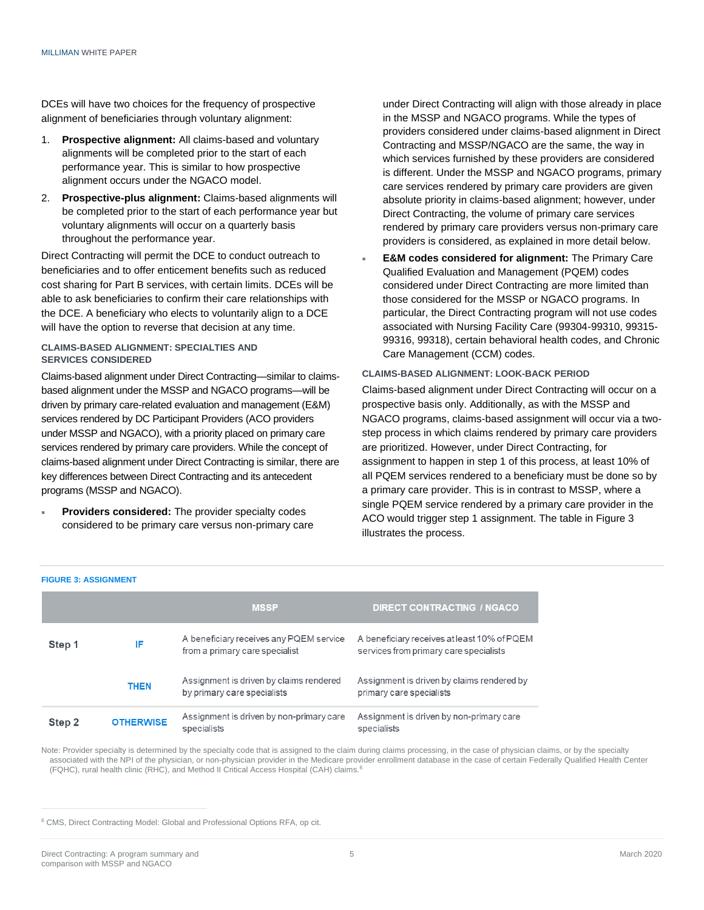DCEs will have two choices for the frequency of prospective alignment of beneficiaries through voluntary alignment:

- 1. **Prospective alignment:** All claims-based and voluntary alignments will be completed prior to the start of each performance year. This is similar to how prospective alignment occurs under the NGACO model.
- 2. **Prospective-plus alignment:** Claims-based alignments will be completed prior to the start of each performance year but voluntary alignments will occur on a quarterly basis throughout the performance year.

Direct Contracting will permit the DCE to conduct outreach to beneficiaries and to offer enticement benefits such as reduced cost sharing for Part B services, with certain limits. DCEs will be able to ask beneficiaries to confirm their care relationships with the DCE. A beneficiary who elects to voluntarily align to a DCE will have the option to reverse that decision at any time.

#### **CLAIMS-BASED ALIGNMENT: SPECIALTIES AND SERVICES CONSIDERED**

Claims-based alignment under Direct Contracting—similar to claimsbased alignment under the MSSP and NGACO programs—will be driven by primary care-related evaluation and management (E&M) services rendered by DC Participant Providers (ACO providers under MSSP and NGACO), with a priority placed on primary care services rendered by primary care providers. While the concept of claims-based alignment under Direct Contracting is similar, there are key differences between Direct Contracting and its antecedent programs (MSSP and NGACO).

 **Providers considered:** The provider specialty codes considered to be primary care versus non-primary care under Direct Contracting will align with those already in place in the MSSP and NGACO programs. While the types of providers considered under claims-based alignment in Direct Contracting and MSSP/NGACO are the same, the way in which services furnished by these providers are considered is different. Under the MSSP and NGACO programs, primary care services rendered by primary care providers are given absolute priority in claims-based alignment; however, under Direct Contracting, the volume of primary care services rendered by primary care providers versus non-primary care providers is considered, as explained in more detail below.

 **E&M codes considered for alignment:** The Primary Care Qualified Evaluation and Management (PQEM) codes considered under Direct Contracting are more limited than those considered for the MSSP or NGACO programs. In particular, the Direct Contracting program will not use codes associated with Nursing Facility Care (99304-99310, 99315- 99316, 99318), certain behavioral health codes, and Chronic Care Management (CCM) codes.

#### **CLAIMS-BASED ALIGNMENT: LOOK-BACK PERIOD**

Claims-based alignment under Direct Contracting will occur on a prospective basis only. Additionally, as with the MSSP and NGACO programs, claims-based assignment will occur via a twostep process in which claims rendered by primary care providers are prioritized. However, under Direct Contracting, for assignment to happen in step 1 of this process, at least 10% of all PQEM services rendered to a beneficiary must be done so by a primary care provider. This is in contrast to MSSP, where a single PQEM service rendered by a primary care provider in the ACO would trigger step 1 assignment. The table in Figure 3 illustrates the process.

|        |                  | <b>MSSP</b>                                                               | <b>DIRECT CONTRACTING / NGACO</b>                                                     |
|--------|------------------|---------------------------------------------------------------------------|---------------------------------------------------------------------------------------|
| Step 1 | IF               | A beneficiary receives any PQEM service<br>from a primary care specialist | A beneficiary receives at least 10% of PQEM<br>services from primary care specialists |
|        | <b>THEN</b>      | Assignment is driven by claims rendered<br>by primary care specialists    | Assignment is driven by claims rendered by<br>primary care specialists                |
| Step 2 | <b>OTHERWISE</b> | Assignment is driven by non-primary care<br>specialists                   | Assignment is driven by non-primary care<br>specialists                               |

Note: Provider specialty is determined by the specialty code that is assigned to the claim during claims processing, in the case of physician claims, or by the specialty associated with the NPI of the physician, or non-physician provider in the Medicare provider enrollment database in the case of certain Federally Qualified Health Center (FQHC), rural health clinic (RHC), and Method II Critical Access Hospital (CAH) claims.<sup>6</sup>

**FIGURE 3: ASSIGNMENT**

<sup>6</sup> CMS, Direct Contracting Model: Global and Professional Options RFA, op cit.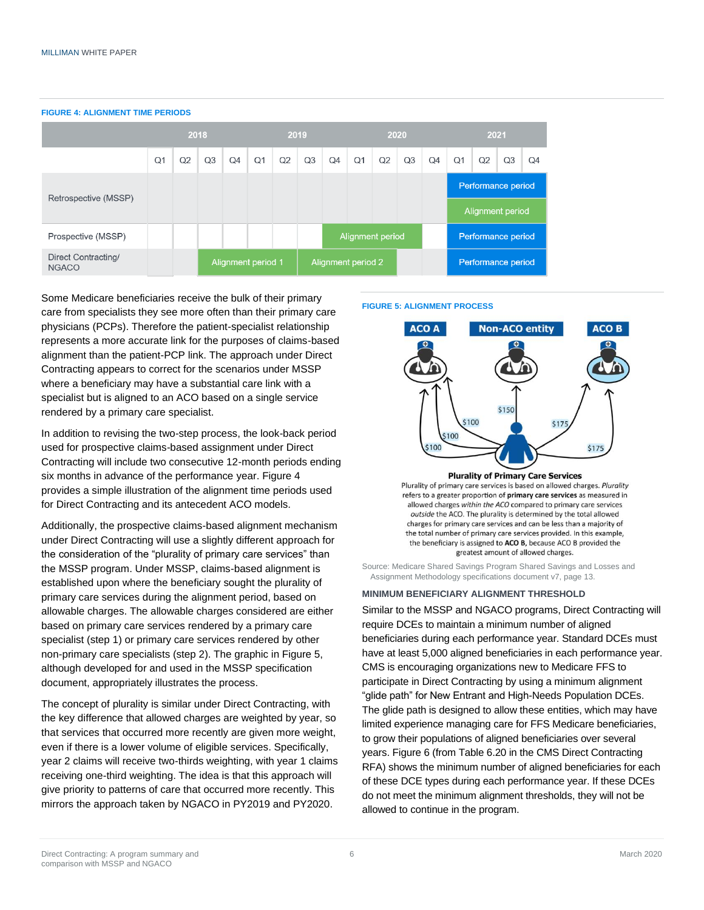**FIGURE 4: ALIGNMENT TIME PERIODS** 2018 2019 2020 2021  $\bigcap$ 1  $O<sub>2</sub>$  $O<sub>1</sub>$  $O<sub>2</sub>$  $O<sub>4</sub>$  $O<sub>1</sub>$  $O<sub>2</sub>$  $\Omega$ 4  $Q<sub>1</sub>$  $O<sub>2</sub>$  $O<sub>3</sub>$  $Q<sub>4</sub>$  $O<sub>3</sub>$  $O<sub>4</sub>$  $O<sub>3</sub>$  $O.3$ Performance period Retrospective (MSSP) Alignment period Prospective (MSSP) Alignment period Performance period Direct Contracting/ Alignment period 1 Alignment period 2 Performance period **NGACO** 

Some Medicare beneficiaries receive the bulk of their primary care from specialists they see more often than their primary care physicians (PCPs). Therefore the patient-specialist relationship represents a more accurate link for the purposes of claims-based alignment than the patient-PCP link. The approach under Direct Contracting appears to correct for the scenarios under MSSP where a beneficiary may have a substantial care link with a specialist but is aligned to an ACO based on a single service rendered by a primary care specialist.

In addition to revising the two-step process, the look-back period used for prospective claims-based assignment under Direct Contracting will include two consecutive 12-month periods ending six months in advance of the performance year. Figure 4 provides a simple illustration of the alignment time periods used for Direct Contracting and its antecedent ACO models.

Additionally, the prospective claims-based alignment mechanism under Direct Contracting will use a slightly different approach for the consideration of the "plurality of primary care services" than the MSSP program. Under MSSP, claims-based alignment is established upon where the beneficiary sought the plurality of primary care services during the alignment period, based on allowable charges. The allowable charges considered are either based on primary care services rendered by a primary care specialist (step 1) or primary care services rendered by other non-primary care specialists (step 2). The graphic in Figure 5, although developed for and used in the MSSP specification document, appropriately illustrates the process.

The concept of plurality is similar under Direct Contracting, with the key difference that allowed charges are weighted by year, so that services that occurred more recently are given more weight, even if there is a lower volume of eligible services. Specifically, year 2 claims will receive two-thirds weighting, with year 1 claims receiving one-third weighting. The idea is that this approach will give priority to patterns of care that occurred more recently. This mirrors the approach taken by NGACO in PY2019 and PY2020.

#### **FIGURE 5: ALIGNMENT PROCESS**



Plurality of primary care services is based on allowed charges. Plurality refers to a greater proportion of primary care services as measured in allowed charges within the ACO compared to primary care services outside the ACO. The plurality is determined by the total allowed charges for primary care services and can be less than a majority of the total number of primary care services provided. In this example, the beneficiary is assigned to ACO B, because ACO B provided the greatest amount of allowed charges.

Source: Medicare Shared Savings Program Shared Savings and Losses and Assignment Methodology specifications document v7, page 13.

**MINIMUM BENEFICIARY ALIGNMENT THRESHOLD**

Similar to the MSSP and NGACO programs, Direct Contracting will require DCEs to maintain a minimum number of aligned beneficiaries during each performance year. Standard DCEs must have at least 5,000 aligned beneficiaries in each performance year. CMS is encouraging organizations new to Medicare FFS to participate in Direct Contracting by using a minimum alignment "glide path" for New Entrant and High-Needs Population DCEs. The glide path is designed to allow these entities, which may have limited experience managing care for FFS Medicare beneficiaries, to grow their populations of aligned beneficiaries over several years. Figure 6 (from Table 6.20 in the CMS Direct Contracting RFA) shows the minimum number of aligned beneficiaries for each of these DCE types during each performance year. If these DCEs do not meet the minimum alignment thresholds, they will not be allowed to continue in the program.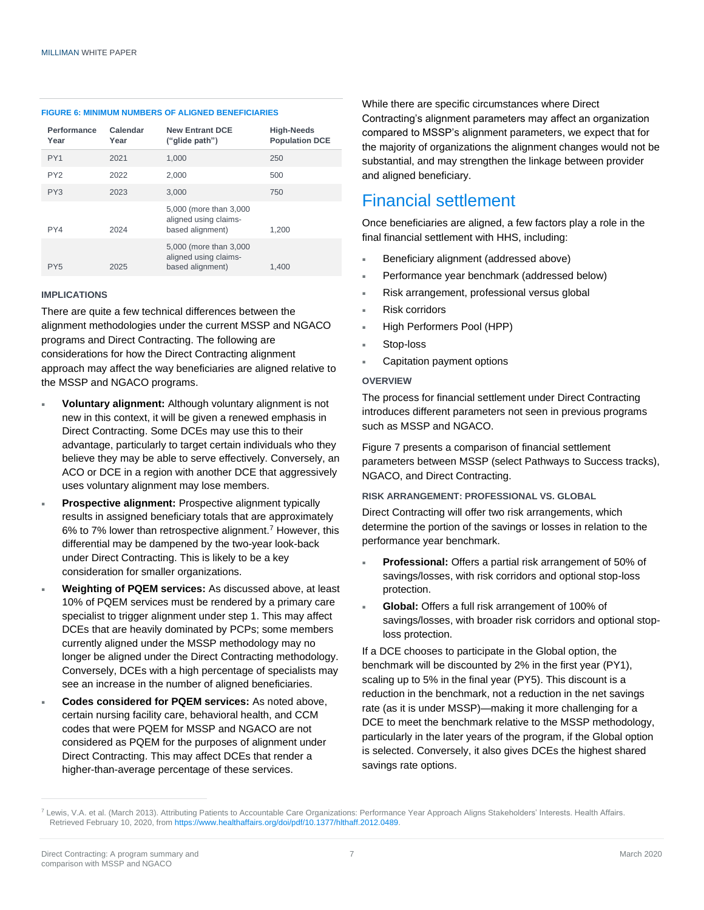#### **FIGURE 6: MINIMUM NUMBERS OF ALIGNED BENEFICIARIES**

| Performance<br>Year | Calendar<br>Year | <b>New Entrant DCE</b><br>("glide path")                            | <b>High-Needs</b><br><b>Population DCE</b> |
|---------------------|------------------|---------------------------------------------------------------------|--------------------------------------------|
| PY <sub>1</sub>     | 2021             | 1.000                                                               | 250                                        |
| PY <sub>2</sub>     | 2022             | 2.000                                                               | 500                                        |
| PY3                 | 2023             | 3,000                                                               | 750                                        |
| PY4                 | 2024             | 5,000 (more than 3,000<br>aligned using claims-<br>based alignment) | 1.200                                      |
| PY5                 | 2025             | 5,000 (more than 3,000<br>aligned using claims-<br>based alignment) | 1.400                                      |

#### **IMPLICATIONS**

There are quite a few technical differences between the alignment methodologies under the current MSSP and NGACO programs and Direct Contracting. The following are considerations for how the Direct Contracting alignment approach may affect the way beneficiaries are aligned relative to the MSSP and NGACO programs.

- **Voluntary alignment:** Although voluntary alignment is not new in this context, it will be given a renewed emphasis in Direct Contracting. Some DCEs may use this to their advantage, particularly to target certain individuals who they believe they may be able to serve effectively. Conversely, an ACO or DCE in a region with another DCE that aggressively uses voluntary alignment may lose members.
- **Prospective alignment:** Prospective alignment typically results in assigned beneficiary totals that are approximately 6% to 7% lower than retrospective alignment.<sup>7</sup> However, this differential may be dampened by the two-year look-back under Direct Contracting. This is likely to be a key consideration for smaller organizations.
- **Weighting of PQEM services:** As discussed above, at least 10% of PQEM services must be rendered by a primary care specialist to trigger alignment under step 1. This may affect DCEs that are heavily dominated by PCPs; some members currently aligned under the MSSP methodology may no longer be aligned under the Direct Contracting methodology. Conversely, DCEs with a high percentage of specialists may see an increase in the number of aligned beneficiaries.
- **Codes considered for PQEM services:** As noted above, certain nursing facility care, behavioral health, and CCM codes that were PQEM for MSSP and NGACO are not considered as PQEM for the purposes of alignment under Direct Contracting. This may affect DCEs that render a higher-than-average percentage of these services.

While there are specific circumstances where Direct Contracting's alignment parameters may affect an organization compared to MSSP's alignment parameters, we expect that for the majority of organizations the alignment changes would not be substantial, and may strengthen the linkage between provider and aligned beneficiary.

### Financial settlement

Once beneficiaries are aligned, a few factors play a role in the final financial settlement with HHS, including:

- Beneficiary alignment (addressed above)
- Performance year benchmark (addressed below)
- Risk arrangement, professional versus global
- Risk corridors
- High Performers Pool (HPP)
- Stop-loss
- Capitation payment options

#### **OVERVIEW**

The process for financial settlement under Direct Contracting introduces different parameters not seen in previous programs such as MSSP and NGACO.

Figure 7 presents a comparison of financial settlement parameters between MSSP (select Pathways to Success tracks), NGACO, and Direct Contracting.

#### **RISK ARRANGEMENT: PROFESSIONAL VS. GLOBAL**

Direct Contracting will offer two risk arrangements, which determine the portion of the savings or losses in relation to the performance year benchmark.

- **Professional:** Offers a partial risk arrangement of 50% of savings/losses, with risk corridors and optional stop-loss protection.
- **Global:** Offers a full risk arrangement of 100% of savings/losses, with broader risk corridors and optional stoploss protection.

If a DCE chooses to participate in the Global option, the benchmark will be discounted by 2% in the first year (PY1), scaling up to 5% in the final year (PY5). This discount is a reduction in the benchmark, not a reduction in the net savings rate (as it is under MSSP)—making it more challenging for a DCE to meet the benchmark relative to the MSSP methodology, particularly in the later years of the program, if the Global option is selected. Conversely, it also gives DCEs the highest shared savings rate options.

<sup>&</sup>lt;sup>7</sup> Lewis, V.A. et al. (March 2013). Attributing Patients to Accountable Care Organizations: Performance Year Approach Aligns Stakeholders' Interests. Health Affairs. Retrieved February 10, 2020, from [https://www.healthaffairs.org/doi/pdf/10.1377/hlthaff.2012.0489.](https://www.healthaffairs.org/doi/pdf/10.1377/hlthaff.2012.0489)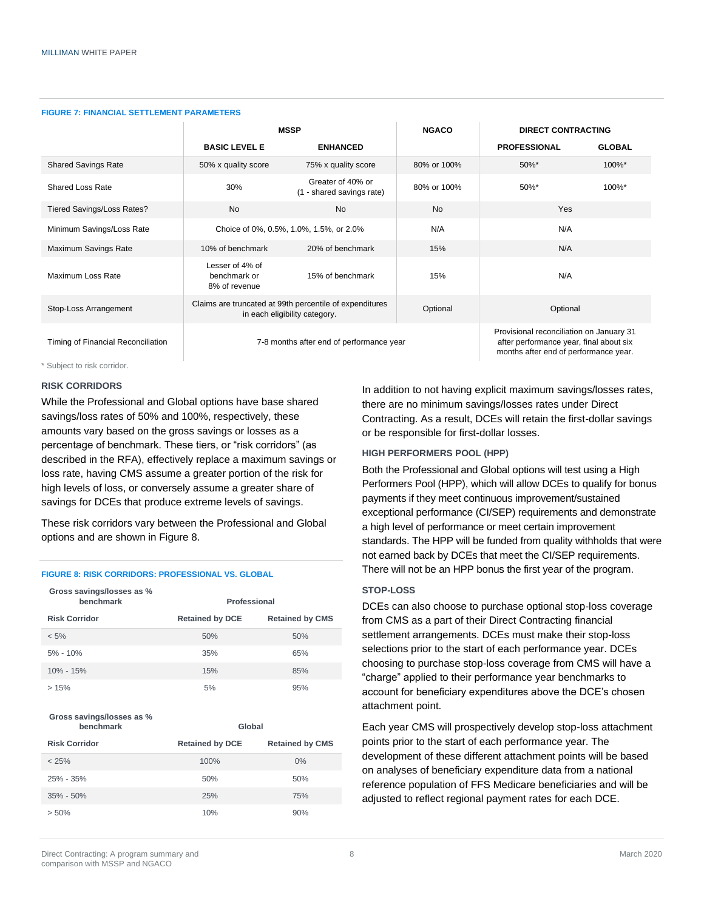| <u>IUURE I.I IRARUAL ULI ILLIILIN I ARAIILI LIVU</u> |                                                  |                                                                                          |              |                           |                                                                                     |
|------------------------------------------------------|--------------------------------------------------|------------------------------------------------------------------------------------------|--------------|---------------------------|-------------------------------------------------------------------------------------|
|                                                      | <b>MSSP</b>                                      |                                                                                          | <b>NGACO</b> | <b>DIRECT CONTRACTING</b> |                                                                                     |
|                                                      | <b>BASIC LEVEL E</b>                             | <b>ENHANCED</b>                                                                          |              | <b>PROFESSIONAL</b>       | <b>GLOBAL</b>                                                                       |
| <b>Shared Savings Rate</b>                           | 50% x quality score                              | 75% x quality score                                                                      | 80% or 100%  | 50%*                      | 100%*                                                                               |
| <b>Shared Loss Rate</b>                              | 30%                                              | Greater of 40% or<br>(1 - shared savings rate)                                           | 80% or 100%  | 50%*                      | 100%*                                                                               |
| Tiered Savings/Loss Rates?                           | <b>No</b>                                        | <b>No</b>                                                                                | <b>No</b>    | Yes                       |                                                                                     |
| Minimum Savings/Loss Rate                            |                                                  | Choice of 0%, 0.5%, 1.0%, 1.5%, or 2.0%                                                  | N/A          | N/A                       |                                                                                     |
| Maximum Savings Rate                                 | 10% of benchmark                                 | 20% of benchmark                                                                         | 15%          | N/A                       |                                                                                     |
| Maximum Loss Rate                                    | Lesser of 4% of<br>benchmark or<br>8% of revenue | 15% of benchmark                                                                         | 15%          | N/A                       |                                                                                     |
| Stop-Loss Arrangement                                |                                                  | Claims are truncated at 99th percentile of expenditures<br>in each eligibility category. | Optional     | Optional                  |                                                                                     |
| Timing of Financial Reconciliation                   |                                                  | 7-8 months after end of performance year                                                 |              |                           | Provisional reconciliation on January 31<br>after performance year, final about six |

#### **FIGURE 7: FINANCIAL SETTLEMENT PARAMETERS**

\* Subject to risk corridor.

#### **RISK CORRIDORS**

While the Professional and Global options have base shared savings/loss rates of 50% and 100%, respectively, these amounts vary based on the gross savings or losses as a percentage of benchmark. These tiers, or "risk corridors" (as described in the RFA), effectively replace a maximum savings or loss rate, having CMS assume a greater portion of the risk for high levels of loss, or conversely assume a greater share of savings for DCEs that produce extreme levels of savings.

These risk corridors vary between the Professional and Global options and are shown in Figure 8.

#### **FIGURE 8: RISK CORRIDORS: PROFESSIONAL VS. GLOBAL**

| Gross savings/losses as %<br>benchmark | Professional           |                        |
|----------------------------------------|------------------------|------------------------|
| <b>Risk Corridor</b>                   | <b>Retained by DCE</b> | <b>Retained by CMS</b> |
| $< 5\%$                                | 50%                    | 50%                    |
| $5\% - 10\%$                           | 35%                    | 65%                    |
| $10\% - 15\%$                          | 15%                    | 85%                    |
| >15%                                   | 5%                     | 95%                    |

#### **Gross savings/losses as % benchmark Global**

| --------------       | ------                 |                        |
|----------------------|------------------------|------------------------|
| <b>Risk Corridor</b> | <b>Retained by DCE</b> | <b>Retained by CMS</b> |
| < 25%                | 100%                   | $0\%$                  |
| 25% - 35%            | 50%                    | 50%                    |
| $35\% - 50\%$        | 25%                    | 75%                    |
| $> 50\%$             | 10%                    | 90%                    |

months after end of performance year.

In addition to not having explicit maximum savings/losses rates, there are no minimum savings/losses rates under Direct Contracting. As a result, DCEs will retain the first-dollar savings or be responsible for first-dollar losses.

#### **HIGH PERFORMERS POOL (HPP)**

Both the Professional and Global options will test using a High Performers Pool (HPP), which will allow DCEs to qualify for bonus payments if they meet continuous improvement/sustained exceptional performance (CI/SEP) requirements and demonstrate a high level of performance or meet certain improvement standards. The HPP will be funded from quality withholds that were not earned back by DCEs that meet the CI/SEP requirements. There will not be an HPP bonus the first year of the program.

#### **STOP-LOSS**

DCEs can also choose to purchase optional stop-loss coverage from CMS as a part of their Direct Contracting financial settlement arrangements. DCEs must make their stop-loss selections prior to the start of each performance year. DCEs choosing to purchase stop-loss coverage from CMS will have a "charge" applied to their performance year benchmarks to account for beneficiary expenditures above the DCE's chosen attachment point.

Each year CMS will prospectively develop stop-loss attachment points prior to the start of each performance year. The development of these different attachment points will be based on analyses of beneficiary expenditure data from a national reference population of FFS Medicare beneficiaries and will be adjusted to reflect regional payment rates for each DCE.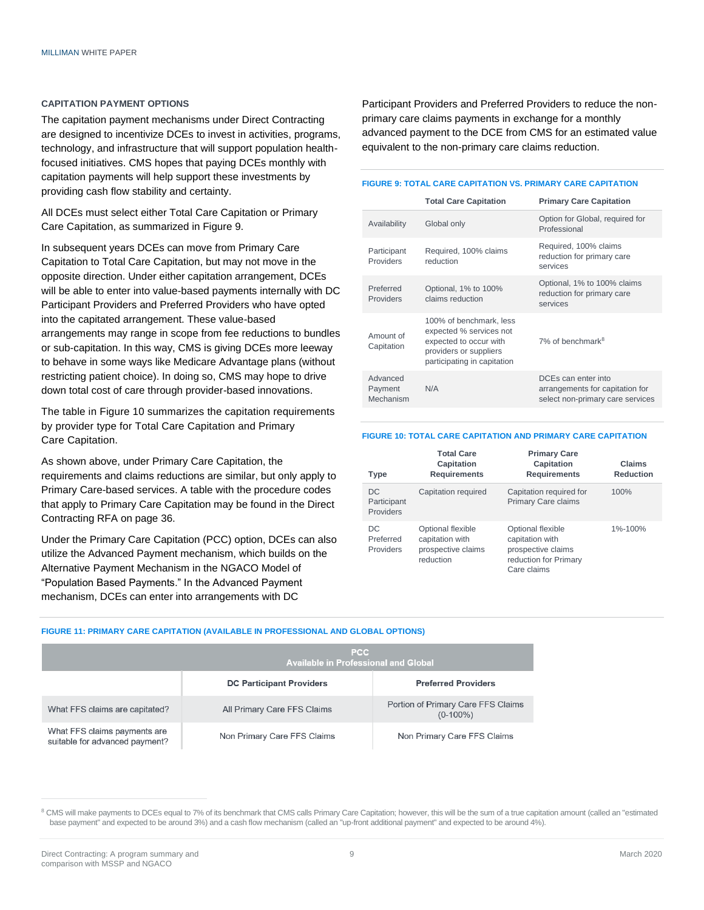#### **CAPITATION PAYMENT OPTIONS**

The capitation payment mechanisms under Direct Contracting are designed to incentivize DCEs to invest in activities, programs, technology, and infrastructure that will support population healthfocused initiatives. CMS hopes that paying DCEs monthly with capitation payments will help support these investments by providing cash flow stability and certainty.

All DCEs must select either Total Care Capitation or Primary Care Capitation, as summarized in Figure 9.

In subsequent years DCEs can move from Primary Care Capitation to Total Care Capitation, but may not move in the opposite direction. Under either capitation arrangement, DCEs will be able to enter into value-based payments internally with DC Participant Providers and Preferred Providers who have opted into the capitated arrangement. These value-based arrangements may range in scope from fee reductions to bundles or sub-capitation. In this way, CMS is giving DCEs more leeway to behave in some ways like Medicare Advantage plans (without restricting patient choice). In doing so, CMS may hope to drive down total cost of care through provider-based innovations.

The table in Figure 10 summarizes the capitation requirements by provider type for Total Care Capitation and Primary Care Capitation.

As shown above, under Primary Care Capitation, the requirements and claims reductions are similar, but only apply to Primary Care-based services. A table with the procedure codes that apply to Primary Care Capitation may be found in the Direct Contracting RFA on page 36.

Under the Primary Care Capitation (PCC) option, DCEs can also utilize the Advanced Payment mechanism, which builds on the Alternative Payment Mechanism in the NGACO Model of "Population Based Payments." In the Advanced Payment mechanism, DCEs can enter into arrangements with DC

Participant Providers and Preferred Providers to reduce the nonprimary care claims payments in exchange for a monthly advanced payment to the DCE from CMS for an estimated value equivalent to the non-primary care claims reduction.

#### **FIGURE 9: TOTAL CARE CAPITATION VS. PRIMARY CARE CAPITATION**

|                                  | <b>Total Care Capitation</b>                                                                                                          | <b>Primary Care Capitation</b>                                                             |
|----------------------------------|---------------------------------------------------------------------------------------------------------------------------------------|--------------------------------------------------------------------------------------------|
| Availability                     | Global only                                                                                                                           | Option for Global, required for<br>Professional                                            |
| Participant<br><b>Providers</b>  | Required, 100% claims<br>reduction                                                                                                    | Required, 100% claims<br>reduction for primary care<br>services                            |
| Preferred<br><b>Providers</b>    | Optional, 1% to 100%<br>claims reduction                                                                                              | Optional, 1% to 100% claims<br>reduction for primary care<br>services                      |
| Amount of<br>Capitation          | 100% of benchmark, less<br>expected % services not<br>expected to occur with<br>providers or suppliers<br>participating in capitation | $7\%$ of benchmark <sup>8</sup>                                                            |
| Advanced<br>Payment<br>Mechanism | N/A                                                                                                                                   | DCEs can enter into<br>arrangements for capitation for<br>select non-primary care services |

#### **FIGURE 10: TOTAL CARE CAPITATION AND PRIMARY CARE CAPITATION**

| <b>Type</b>                         | <b>Total Care</b><br>Capitation<br><b>Requirements</b>                  | <b>Primary Care</b><br>Capitation<br><b>Requirements</b>                                           | Claims<br><b>Reduction</b> |
|-------------------------------------|-------------------------------------------------------------------------|----------------------------------------------------------------------------------------------------|----------------------------|
| DC<br>Participant<br>Providers      | Capitation required                                                     | Capitation required for<br><b>Primary Care claims</b>                                              | 100%                       |
| DC<br>Preferred<br><b>Providers</b> | Optional flexible<br>capitation with<br>prospective claims<br>reduction | Optional flexible<br>capitation with<br>prospective claims<br>reduction for Primary<br>Care claims | $1\% - 100\%$              |

#### **FIGURE 11: PRIMARY CARE CAPITATION (AVAILABLE IN PROFESSIONAL AND GLOBAL OPTIONS)**

| <b>PCC</b><br><b>Available in Professional and Global</b>      |                                 |                                                   |  |  |
|----------------------------------------------------------------|---------------------------------|---------------------------------------------------|--|--|
|                                                                | <b>DC Participant Providers</b> | <b>Preferred Providers</b>                        |  |  |
| What FFS claims are capitated?                                 | All Primary Care FFS Claims     | Portion of Primary Care FFS Claims<br>$(0-100\%)$ |  |  |
| What FFS claims payments are<br>suitable for advanced payment? | Non Primary Care FFS Claims     | Non Primary Care FFS Claims                       |  |  |

<sup>&</sup>lt;sup>8</sup> CMS will make payments to DCEs equal to 7% of its benchmark that CMS calls Primary Care Capitation; however, this will be the sum of a true capitation amount (called an "estimated base payment" and expected to be around 3%) and a cash flow mechanism (called an "up-front additional payment" and expected to be around 4%).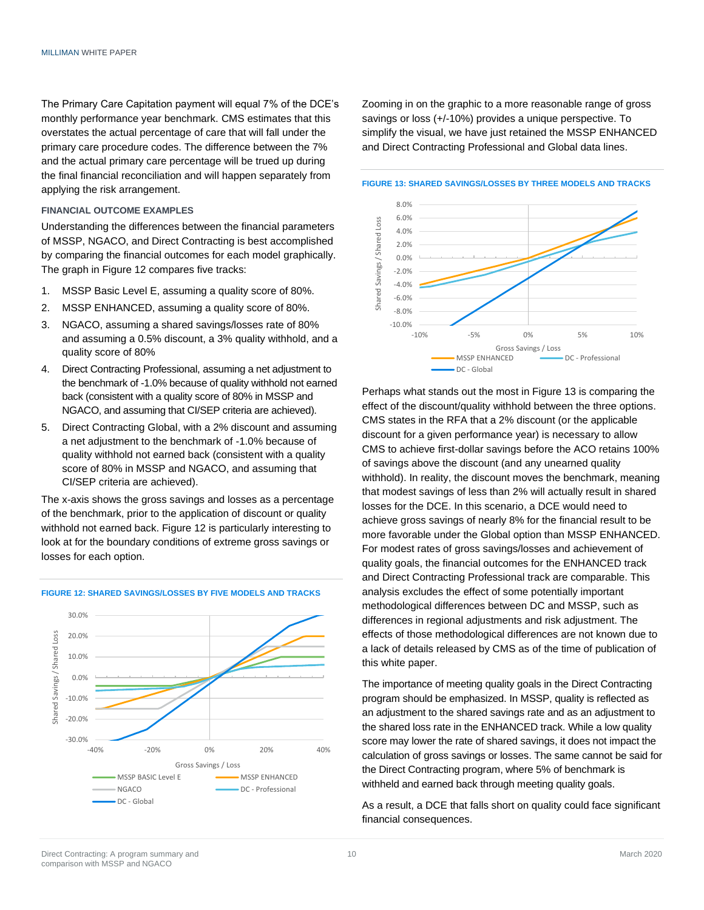The Primary Care Capitation payment will equal 7% of the DCE's monthly performance year benchmark. CMS estimates that this overstates the actual percentage of care that will fall under the primary care procedure codes. The difference between the 7% and the actual primary care percentage will be trued up during the final financial reconciliation and will happen separately from applying the risk arrangement.

#### **FINANCIAL OUTCOME EXAMPLES**

Understanding the differences between the financial parameters of MSSP, NGACO, and Direct Contracting is best accomplished by comparing the financial outcomes for each model graphically. The graph in Figure 12 compares five tracks:

- 1. MSSP Basic Level E, assuming a quality score of 80%.
- 2. MSSP ENHANCED, assuming a quality score of 80%.
- 3. NGACO, assuming a shared savings/losses rate of 80% and assuming a 0.5% discount, a 3% quality withhold, and a quality score of 80%
- 4. Direct Contracting Professional, assuming a net adjustment to the benchmark of -1.0% because of quality withhold not earned back (consistent with a quality score of 80% in MSSP and NGACO, and assuming that CI/SEP criteria are achieved).
- 5. Direct Contracting Global, with a 2% discount and assuming a net adjustment to the benchmark of -1.0% because of quality withhold not earned back (consistent with a quality score of 80% in MSSP and NGACO, and assuming that CI/SEP criteria are achieved).

The x-axis shows the gross savings and losses as a percentage of the benchmark, prior to the application of discount or quality withhold not earned back. Figure 12 is particularly interesting to look at for the boundary conditions of extreme gross savings or losses for each option.



#### **FIGURE 12: SHARED SAVINGS/LOSSES BY FIVE MODELS AND TRACKS**

Zooming in on the graphic to a more reasonable range of gross savings or loss (+/-10%) provides a unique perspective. To simplify the visual, we have just retained the MSSP ENHANCED and Direct Contracting Professional and Global data lines.

**FIGURE 13: SHARED SAVINGS/LOSSES BY THREE MODELS AND TRACKS**



Perhaps what stands out the most in Figure 13 is comparing the effect of the discount/quality withhold between the three options. CMS states in the RFA that a 2% discount (or the applicable discount for a given performance year) is necessary to allow CMS to achieve first-dollar savings before the ACO retains 100% of savings above the discount (and any unearned quality withhold). In reality, the discount moves the benchmark, meaning that modest savings of less than 2% will actually result in shared losses for the DCE. In this scenario, a DCE would need to achieve gross savings of nearly 8% for the financial result to be more favorable under the Global option than MSSP ENHANCED. For modest rates of gross savings/losses and achievement of quality goals, the financial outcomes for the ENHANCED track and Direct Contracting Professional track are comparable. This analysis excludes the effect of some potentially important methodological differences between DC and MSSP, such as differences in regional adjustments and risk adjustment. The effects of those methodological differences are not known due to a lack of details released by CMS as of the time of publication of this white paper.

The importance of meeting quality goals in the Direct Contracting program should be emphasized. In MSSP, quality is reflected as an adjustment to the shared savings rate and as an adjustment to the shared loss rate in the ENHANCED track. While a low quality score may lower the rate of shared savings, it does not impact the calculation of gross savings or losses. The same cannot be said for the Direct Contracting program, where 5% of benchmark is withheld and earned back through meeting quality goals.

As a result, a DCE that falls short on quality could face significant financial consequences.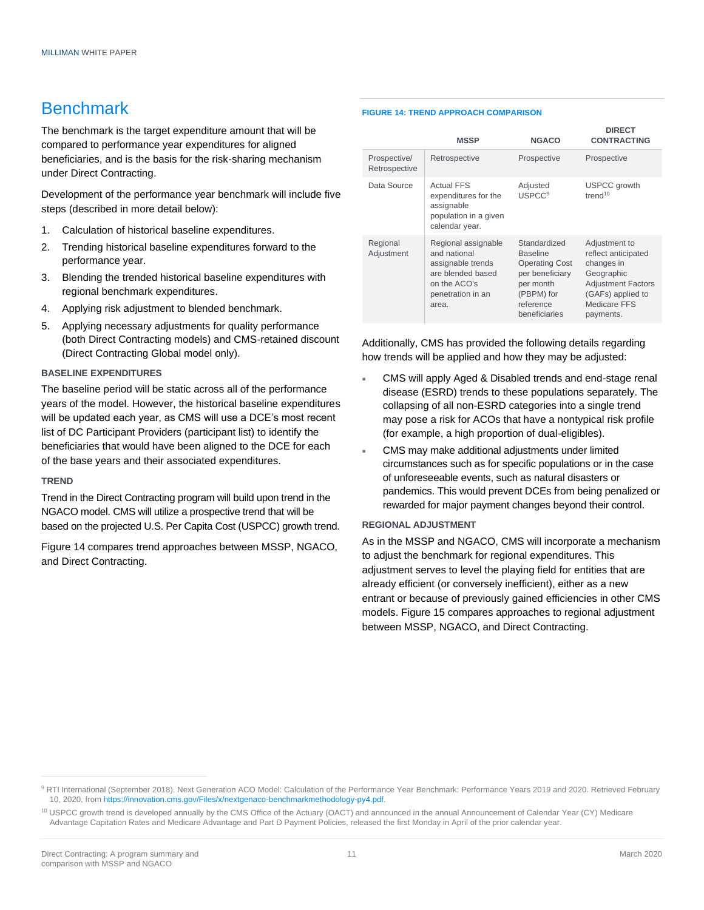### Benchmark

The benchmark is the target expenditure amount that will be compared to performance year expenditures for aligned beneficiaries, and is the basis for the risk-sharing mechanism under Direct Contracting.

Development of the performance year benchmark will include five steps (described in more detail below):

- 1. Calculation of historical baseline expenditures.
- 2. Trending historical baseline expenditures forward to the performance year.
- 3. Blending the trended historical baseline expenditures with regional benchmark expenditures.
- 4. Applying risk adjustment to blended benchmark.
- 5. Applying necessary adjustments for quality performance (both Direct Contracting models) and CMS-retained discount (Direct Contracting Global model only).

#### **BASELINE EXPENDITURES**

The baseline period will be static across all of the performance years of the model. However, the historical baseline expenditures will be updated each year, as CMS will use a DCE's most recent list of DC Participant Providers (participant list) to identify the beneficiaries that would have been aligned to the DCE for each of the base years and their associated expenditures.

#### **TREND**

Trend in the Direct Contracting program will build upon trend in the NGACO model. CMS will utilize a prospective trend that will be based on the projected U.S. Per Capita Cost (USPCC) growth trend.

Figure 14 compares trend approaches between MSSP, NGACO, and Direct Contracting.

#### **FIGURE 14: TREND APPROACH COMPARISON**

|                               | <b>MSSP</b>                                                                                                                 | <b>NGACO</b>                                                                                                                         | <b>DIRECT</b><br><b>CONTRACTING</b>                                                                                                             |
|-------------------------------|-----------------------------------------------------------------------------------------------------------------------------|--------------------------------------------------------------------------------------------------------------------------------------|-------------------------------------------------------------------------------------------------------------------------------------------------|
| Prospective/<br>Retrospective | Retrospective                                                                                                               | Prospective                                                                                                                          | Prospective                                                                                                                                     |
| Data Source                   | <b>Actual FFS</b><br>expenditures for the<br>assignable<br>population in a given<br>calendar year.                          | Adjusted<br><b>USPCC<sup>9</sup></b>                                                                                                 | <b>USPCC</b> growth<br>trend <sup>10</sup>                                                                                                      |
| Regional<br>Adjustment        | Regional assignable<br>and national<br>assignable trends<br>are blended based<br>on the ACO's<br>penetration in an<br>area. | Standardized<br><b>Baseline</b><br><b>Operating Cost</b><br>per beneficiary<br>per month<br>(PBPM) for<br>reference<br>beneficiaries | Adjustment to<br>reflect anticipated<br>changes in<br>Geographic<br><b>Adjustment Factors</b><br>(GAFs) applied to<br>Medicare FFS<br>payments. |

Additionally, CMS has provided the following details regarding how trends will be applied and how they may be adjusted:

- CMS will apply Aged & Disabled trends and end-stage renal disease (ESRD) trends to these populations separately. The collapsing of all non-ESRD categories into a single trend may pose a risk for ACOs that have a nontypical risk profile (for example, a high proportion of dual-eligibles).
- CMS may make additional adjustments under limited circumstances such as for specific populations or in the case of unforeseeable events, such as natural disasters or pandemics. This would prevent DCEs from being penalized or rewarded for major payment changes beyond their control.

#### **REGIONAL ADJUSTMENT**

As in the MSSP and NGACO, CMS will incorporate a mechanism to adjust the benchmark for regional expenditures. This adjustment serves to level the playing field for entities that are already efficient (or conversely inefficient), either as a new entrant or because of previously gained efficiencies in other CMS models. Figure 15 compares approaches to regional adjustment between MSSP, NGACO, and Direct Contracting.

<sup>9</sup> RTI International (September 2018). Next Generation ACO Model: Calculation of the Performance Year Benchmark: Performance Years 2019 and 2020. Retrieved February 10, 2020, fro[m https://innovation.cms.gov/Files/x/nextgenaco-benchmarkmethodology-py4.pdf.](https://innovation.cms.gov/Files/x/nextgenaco-benchmarkmethodology-py4.pdf)

<sup>&</sup>lt;sup>10</sup> USPCC growth trend is developed annually by the CMS Office of the Actuary (OACT) and announced in the annual Announcement of Calendar Year (CY) Medicare Advantage Capitation Rates and Medicare Advantage and Part D Payment Policies, released the first Monday in April of the prior calendar year.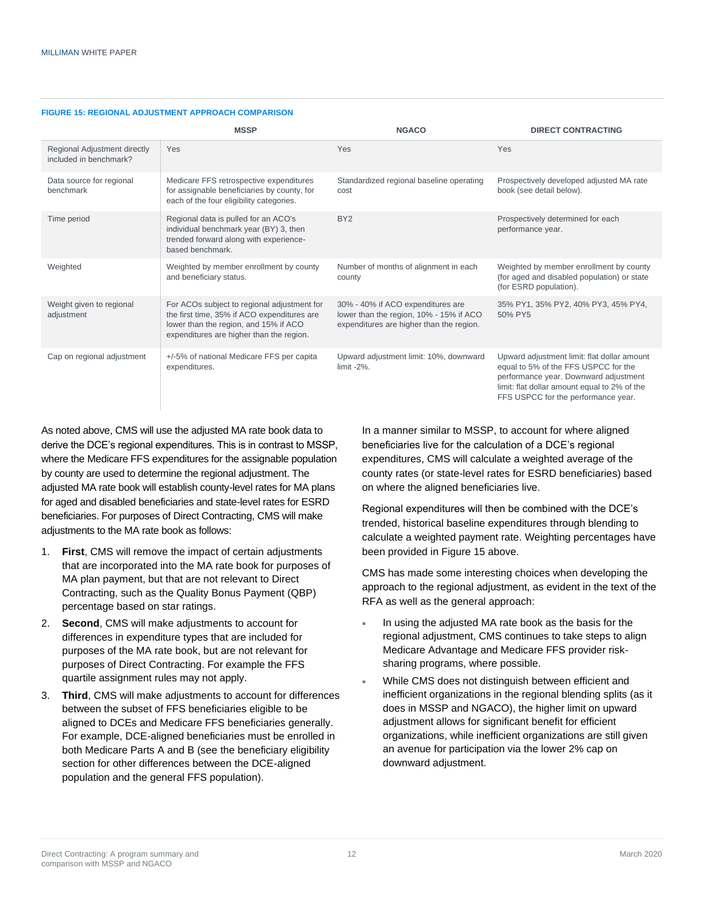|                                                        | <b>MSSP</b>                                                                                                                                                                     | <b>NGACO</b>                                                                                                             | <b>DIRECT CONTRACTING</b>                                                                                                                                                                                           |
|--------------------------------------------------------|---------------------------------------------------------------------------------------------------------------------------------------------------------------------------------|--------------------------------------------------------------------------------------------------------------------------|---------------------------------------------------------------------------------------------------------------------------------------------------------------------------------------------------------------------|
| Regional Adjustment directly<br>included in benchmark? | Yes                                                                                                                                                                             | Yes                                                                                                                      | Yes                                                                                                                                                                                                                 |
| Data source for regional<br>benchmark                  | Medicare FFS retrospective expenditures<br>for assignable beneficiaries by county, for<br>each of the four eligibility categories.                                              | Standardized regional baseline operating<br>cost                                                                         | Prospectively developed adjusted MA rate<br>book (see detail below).                                                                                                                                                |
| Time period                                            | Regional data is pulled for an ACO's<br>individual benchmark year (BY) 3, then<br>trended forward along with experience-<br>based benchmark.                                    | BY <sub>2</sub>                                                                                                          | Prospectively determined for each<br>performance year.                                                                                                                                                              |
| Weighted                                               | Weighted by member enrollment by county<br>and beneficiary status.                                                                                                              | Number of months of alignment in each<br>county                                                                          | Weighted by member enrollment by county<br>(for aged and disabled population) or state<br>(for ESRD population).                                                                                                    |
| Weight given to regional<br>adjustment                 | For ACOs subject to regional adjustment for<br>the first time, 35% if ACO expenditures are<br>lower than the region, and 15% if ACO<br>expenditures are higher than the region. | 30% - 40% if ACO expenditures are<br>lower than the region, 10% - 15% if ACO<br>expenditures are higher than the region. | 35% PY1, 35% PY2, 40% PY3, 45% PY4,<br>50% PY5                                                                                                                                                                      |
| Cap on regional adjustment                             | +/-5% of national Medicare FFS per capita<br>expenditures.                                                                                                                      | Upward adjustment limit: 10%, downward<br>$limit -2%$ .                                                                  | Upward adjustment limit: flat dollar amount<br>equal to 5% of the FFS USPCC for the<br>performance year. Downward adjustment<br>limit: flat dollar amount equal to 2% of the<br>FFS USPCC for the performance year. |

#### **FIGURE 15: REGIONAL ADJUSTMENT APPROACH COMPARISON**

As noted above, CMS will use the adjusted MA rate book data to derive the DCE's regional expenditures. This is in contrast to MSSP, where the Medicare FFS expenditures for the assignable population by county are used to determine the regional adjustment. The adjusted MA rate book will establish county-level rates for MA plans for aged and disabled beneficiaries and state-level rates for ESRD beneficiaries. For purposes of Direct Contracting, CMS will make adjustments to the MA rate book as follows:

- 1. **First**, CMS will remove the impact of certain adjustments that are incorporated into the MA rate book for purposes of MA plan payment, but that are not relevant to Direct Contracting, such as the Quality Bonus Payment (QBP) percentage based on star ratings.
- 2. **Second**, CMS will make adjustments to account for differences in expenditure types that are included for purposes of the MA rate book, but are not relevant for purposes of Direct Contracting. For example the FFS quartile assignment rules may not apply.
- 3. **Third**, CMS will make adjustments to account for differences between the subset of FFS beneficiaries eligible to be aligned to DCEs and Medicare FFS beneficiaries generally. For example, DCE-aligned beneficiaries must be enrolled in both Medicare Parts A and B (see the beneficiary eligibility section for other differences between the DCE-aligned population and the general FFS population).

In a manner similar to MSSP, to account for where aligned beneficiaries live for the calculation of a DCE's regional expenditures, CMS will calculate a weighted average of the county rates (or state-level rates for ESRD beneficiaries) based on where the aligned beneficiaries live.

Regional expenditures will then be combined with the DCE's trended, historical baseline expenditures through blending to calculate a weighted payment rate. Weighting percentages have been provided in Figure 15 above.

CMS has made some interesting choices when developing the approach to the regional adjustment, as evident in the text of the RFA as well as the general approach:

- In using the adjusted MA rate book as the basis for the regional adjustment, CMS continues to take steps to align Medicare Advantage and Medicare FFS provider risksharing programs, where possible.
- While CMS does not distinguish between efficient and inefficient organizations in the regional blending splits (as it does in MSSP and NGACO), the higher limit on upward adjustment allows for significant benefit for efficient organizations, while inefficient organizations are still given an avenue for participation via the lower 2% cap on downward adjustment.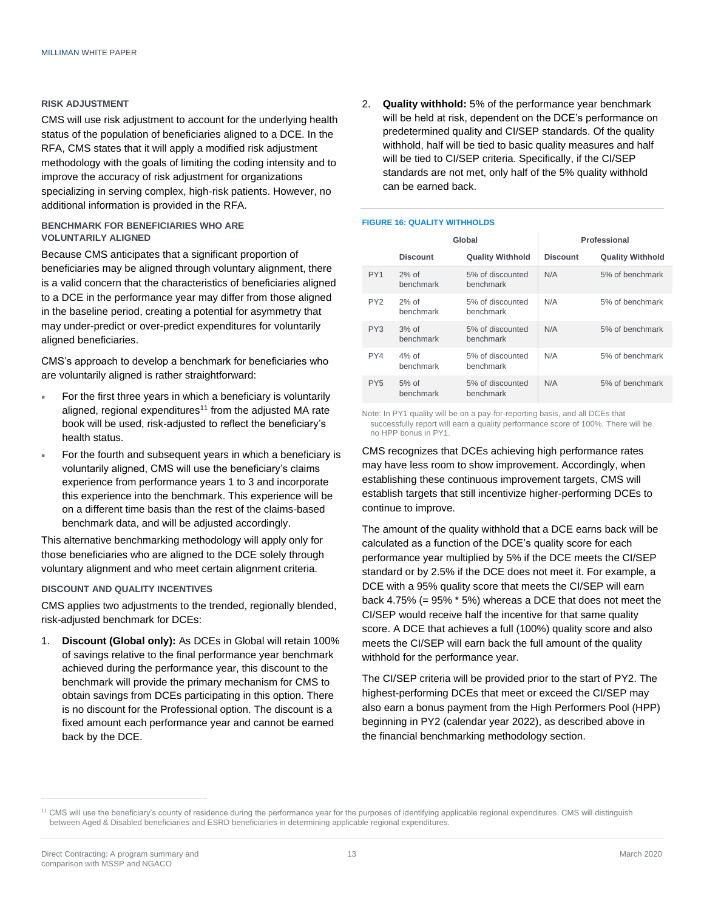#### **RISK ADJUSTMENT**

CMS will use risk adjustment to account for the underlying health status of the population of beneficiaries aligned to a DCE. In the RFA, CMS states that it will apply a modified risk adjustment methodology with the goals of limiting the coding intensity and to improve the accuracy of risk adjustment for organizations specializing in serving complex, high-risk patients. However, no additional information is provided in the RFA.

#### **BENCHMARK FOR BENEFICIARIES WHO ARE VOLUNTARILY ALIGNED**

Because CMS anticipates that a significant proportion of beneficiaries may be aligned through voluntary alignment, there is a valid concern that the characteristics of beneficiaries aligned to a DCE in the performance year may differ from those aligned in the baseline period, creating a potential for asymmetry that may under-predict or over-predict expenditures for voluntarily aligned beneficiaries.

CMS's approach to develop a benchmark for beneficiaries who are voluntarily aligned is rather straightforward:

- For the first three years in which a beneficiary is voluntarily aligned, regional expenditures<sup>11</sup> from the adjusted MA rate book will be used, risk-adjusted to reflect the beneficiary's health status.
- For the fourth and subsequent years in which a beneficiary is voluntarily aligned, CMS will use the beneficiary's claims experience from performance years 1 to 3 and incorporate this experience into the benchmark. This experience will be on a different time basis than the rest of the claims-based benchmark data, and will be adjusted accordingly.

This alternative benchmarking methodology will apply only for those beneficiaries who are aligned to the DCE solely through voluntary alignment and who meet certain alignment criteria.

#### **DISCOUNT AND QUALITY INCENTIVES**

CMS applies two adjustments to the trended, regionally blended, risk-adjusted benchmark for DCEs:

1. **Discount (Global only):** As DCEs in Global will retain 100% of savings relative to the final performance year benchmark achieved during the performance year, this discount to the benchmark will provide the primary mechanism for CMS to obtain savings from DCEs participating in this option. There is no discount for the Professional option. The discount is a fixed amount each performance year and cannot be earned back by the DCE.

2. **Quality withhold:** 5% of the performance year benchmark will be held at risk, dependent on the DCE's performance on predetermined quality and CI/SEP standards. Of the quality withhold, half will be tied to basic quality measures and half will be tied to CI/SEP criteria. Specifically, if the CI/SEP standards are not met, only half of the 5% quality withhold can be earned back.

#### **FIGURE 16: QUALITY WITHHOLDS**

|  |                 | Global                |                               | Professional    |                         |
|--|-----------------|-----------------------|-------------------------------|-----------------|-------------------------|
|  |                 | <b>Discount</b>       | <b>Quality Withhold</b>       | <b>Discount</b> | <b>Quality Withhold</b> |
|  | PY <sub>1</sub> | $2%$ of<br>benchmark  | 5% of discounted<br>benchmark | N/A             | 5% of benchmark         |
|  | PY <sub>2</sub> | $2%$ of<br>benchmark  | 5% of discounted<br>benchmark | N/A             | 5% of benchmark         |
|  | PY3             | $3%$ of<br>benchmark  | 5% of discounted<br>benchmark | N/A             | 5% of benchmark         |
|  | PY4             | $4\%$ of<br>benchmark | 5% of discounted<br>benchmark | N/A             | 5% of benchmark         |
|  | PY <sub>5</sub> | $5%$ of<br>benchmark  | 5% of discounted<br>benchmark | N/A             | 5% of benchmark         |

Note: In PY1 quality will be on a pay-for-reporting basis, and all DCEs that successfully report will earn a quality performance score of 100%. There will be no HPP bonus in PY1.

CMS recognizes that DCEs achieving high performance rates may have less room to show improvement. Accordingly, when establishing these continuous improvement targets, CMS will establish targets that still incentivize higher-performing DCEs to continue to improve.

The amount of the quality withhold that a DCE earns back will be calculated as a function of the DCE's quality score for each performance year multiplied by 5% if the DCE meets the CI/SEP standard or by 2.5% if the DCE does not meet it. For example, a DCE with a 95% quality score that meets the CI/SEP will earn back 4.75% (= 95% \* 5%) whereas a DCE that does not meet the CI/SEP would receive half the incentive for that same quality score. A DCE that achieves a full (100%) quality score and also meets the CI/SEP will earn back the full amount of the quality withhold for the performance year.

The CI/SEP criteria will be provided prior to the start of PY2. The highest-performing DCEs that meet or exceed the CI/SEP may also earn a bonus payment from the High Performers Pool (HPP) beginning in PY2 (calendar year 2022), as described above in the financial benchmarking methodology section.

<sup>&</sup>lt;sup>11</sup> CMS will use the beneficiary's county of residence during the performance year for the purposes of identifying applicable regional expenditures. CMS will distinguish between Aged & Disabled beneficiaries and ESRD beneficiaries in determining applicable regional expenditures.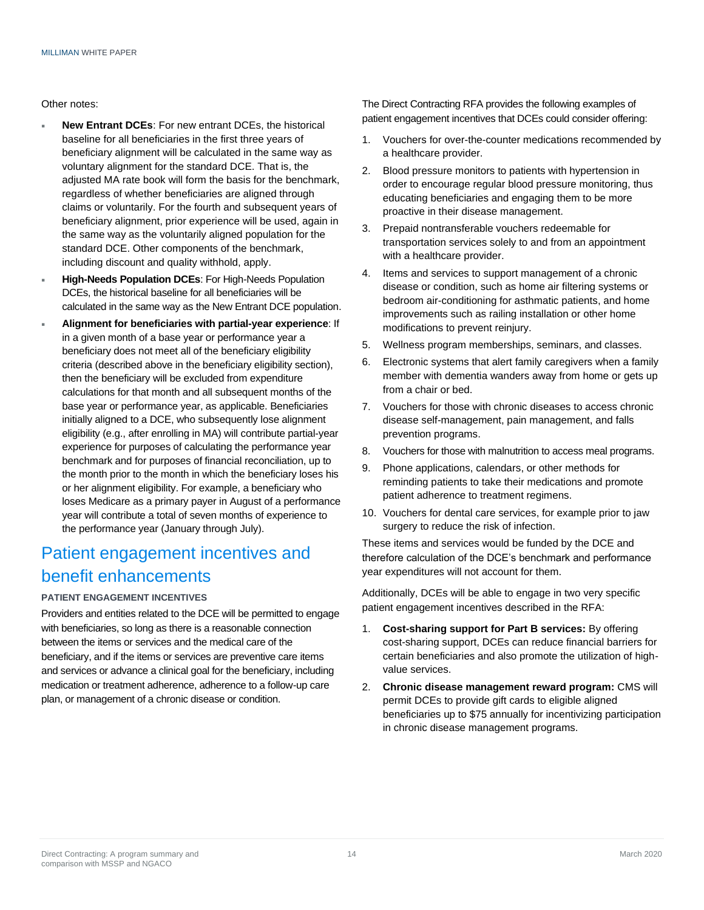#### Other notes:

- **New Entrant DCEs**: For new entrant DCEs, the historical baseline for all beneficiaries in the first three years of beneficiary alignment will be calculated in the same way as voluntary alignment for the standard DCE. That is, the adjusted MA rate book will form the basis for the benchmark. regardless of whether beneficiaries are aligned through claims or voluntarily. For the fourth and subsequent years of beneficiary alignment, prior experience will be used, again in the same way as the voluntarily aligned population for the standard DCE. Other components of the benchmark, including discount and quality withhold, apply.
- **High-Needs Population DCEs**: For High-Needs Population DCEs, the historical baseline for all beneficiaries will be calculated in the same way as the New Entrant DCE population.
- **Alignment for beneficiaries with partial-year experience**: If in a given month of a base year or performance year a beneficiary does not meet all of the beneficiary eligibility criteria (described above in the beneficiary eligibility section), then the beneficiary will be excluded from expenditure calculations for that month and all subsequent months of the base year or performance year, as applicable. Beneficiaries initially aligned to a DCE, who subsequently lose alignment eligibility (e.g., after enrolling in MA) will contribute partial-year experience for purposes of calculating the performance year benchmark and for purposes of financial reconciliation, up to the month prior to the month in which the beneficiary loses his or her alignment eligibility. For example, a beneficiary who loses Medicare as a primary payer in August of a performance year will contribute a total of seven months of experience to the performance year (January through July).

## Patient engagement incentives and benefit enhancements

#### **PATIENT ENGAGEMENT INCENTIVES**

Providers and entities related to the DCE will be permitted to engage with beneficiaries, so long as there is a reasonable connection between the items or services and the medical care of the beneficiary, and if the items or services are preventive care items and services or advance a clinical goal for the beneficiary, including medication or treatment adherence, adherence to a follow-up care plan, or management of a chronic disease or condition.

The Direct Contracting RFA provides the following examples of patient engagement incentives that DCEs could consider offering:

- 1. Vouchers for over-the-counter medications recommended by a healthcare provider.
- 2. Blood pressure monitors to patients with hypertension in order to encourage regular blood pressure monitoring, thus educating beneficiaries and engaging them to be more proactive in their disease management.
- 3. Prepaid nontransferable vouchers redeemable for transportation services solely to and from an appointment with a healthcare provider.
- 4. Items and services to support management of a chronic disease or condition, such as home air filtering systems or bedroom air-conditioning for asthmatic patients, and home improvements such as railing installation or other home modifications to prevent reinjury.
- 5. Wellness program memberships, seminars, and classes.
- 6. Electronic systems that alert family caregivers when a family member with dementia wanders away from home or gets up from a chair or bed.
- 7. Vouchers for those with chronic diseases to access chronic disease self-management, pain management, and falls prevention programs.
- 8. Vouchers for those with malnutrition to access meal programs.
- 9. Phone applications, calendars, or other methods for reminding patients to take their medications and promote patient adherence to treatment regimens.
- 10. Vouchers for dental care services, for example prior to jaw surgery to reduce the risk of infection.

These items and services would be funded by the DCE and therefore calculation of the DCE's benchmark and performance year expenditures will not account for them.

Additionally, DCEs will be able to engage in two very specific patient engagement incentives described in the RFA:

- 1. **Cost-sharing support for Part B services:** By offering cost-sharing support, DCEs can reduce financial barriers for certain beneficiaries and also promote the utilization of highvalue services.
- 2. **Chronic disease management reward program:** CMS will permit DCEs to provide gift cards to eligible aligned beneficiaries up to \$75 annually for incentivizing participation in chronic disease management programs.